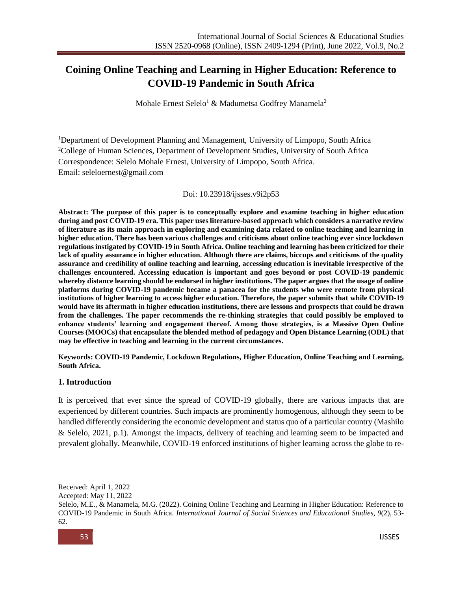# **Coining Online Teaching and Learning in Higher Education: Reference to COVID-19 Pandemic in South Africa**

Mohale Ernest Selelo<sup>1</sup> & Madumetsa Godfrey Manamela<sup>2</sup>

<sup>1</sup>Department of Development Planning and Management, University of Limpopo, South Africa <sup>2</sup>College of Human Sciences, Department of Development Studies, University of South Africa Correspondence: Selelo Mohale Ernest, University of Limpopo, South Africa. Email: [seleloernest@gmail.com](mailto:seleloernest@gmail.com)

#### Doi: 10.23918/ijsses.v9i2p53

**Abstract: The purpose of this paper is to conceptually explore and examine teaching in higher education during and post COVID-19 era. This paper uses literature-based approach which considers a narrative review of literature as its main approach in exploring and examining data related to online teaching and learning in higher education. There has been various challenges and criticisms about online teaching ever since lockdown regulations instigated by COVID-19 in South Africa. Online teaching and learning has been criticized for their lack of quality assurance in higher education. Although there are claims, hiccups and criticisms of the quality assurance and credibility of online teaching and learning, accessing education is inevitable irrespective of the challenges encountered. Accessing education is important and goes beyond or post COVID-19 pandemic whereby distance learning should be endorsed in higher institutions. The paper argues that the usage of online platforms during COVID-19 pandemic became a panacea for the students who were remote from physical institutions of higher learning to access higher education. Therefore, the paper submits that while COVID-19 would have its aftermath in higher education institutions, there are lessons and prospects that could be drawn from the challenges. The paper recommends the re-thinking strategies that could possibly be employed to enhance students' learning and engagement thereof. Among those strategies, is a Massive Open Online Courses (MOOCs) that encapsulate the blended method of pedagogy and Open Distance Learning (ODL) that may be effective in teaching and learning in the current circumstances.** 

**Keywords: COVID-19 Pandemic, Lockdown Regulations, Higher Education, Online Teaching and Learning, South Africa.**

#### **1. Introduction**

It is perceived that ever since the spread of COVID-19 globally, there are various impacts that are experienced by different countries. Such impacts are prominently homogenous, although they seem to be handled differently considering the economic development and status quo of a particular country (Mashilo & Selelo, 2021, p.1). Amongst the impacts, delivery of teaching and learning seem to be impacted and prevalent globally. Meanwhile, COVID-19 enforced institutions of higher learning across the globe to re-

Received: April 1, 2022 Accepted: May 11, 2022 Selelo, M.E., & Manamela, M.G. (2022). Coining Online Teaching and Learning in Higher Education: Reference to COVID-19 Pandemic in South Africa. *International Journal of Social Sciences and Educational Studies, 9*(2), 53- 62.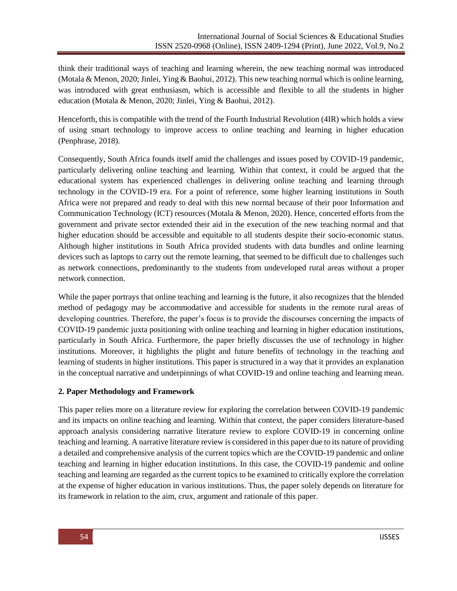think their traditional ways of teaching and learning wherein, the new teaching normal was introduced (Motala & Menon, 2020; Jinlei, Ying & Baohui, 2012). This new teaching normal which is online learning, was introduced with great enthusiasm, which is accessible and flexible to all the students in higher education (Motala & Menon, 2020; Jinlei, Ying & Baohui, 2012).

Henceforth, this is compatible with the trend of the Fourth Industrial Revolution (4IR) which holds a view of using smart technology to improve access to online teaching and learning in higher education (Penphrase, 2018).

Consequently, South Africa founds itself amid the challenges and issues posed by COVID-19 pandemic, particularly delivering online teaching and learning. Within that context, it could be argued that the educational system has experienced challenges in delivering online teaching and learning through technology in the COVID-19 era. For a point of reference, some higher learning institutions in South Africa were not prepared and ready to deal with this new normal because of their poor Information and Communication Technology (ICT) resources (Motala & Menon, 2020). Hence, concerted efforts from the government and private sector extended their aid in the execution of the new teaching normal and that higher education should be accessible and equitable to all students despite their socio-economic status. Although higher institutions in South Africa provided students with data bundles and online learning devices such as laptops to carry out the remote learning, that seemed to be difficult due to challenges such as network connections, predominantly to the students from undeveloped rural areas without a proper network connection.

While the paper portrays that online teaching and learning is the future, it also recognizes that the blended method of pedagogy may be accommodative and accessible for students in the remote rural areas of developing countries. Therefore, the paper's focus is to provide the discourses concerning the impacts of COVID-19 pandemic juxta positioning with online teaching and learning in higher education institutions, particularly in South Africa. Furthermore, the paper briefly discusses the use of technology in higher institutions. Moreover, it highlights the plight and future benefits of technology in the teaching and learning of students in higher institutions. This paper is structured in a way that it provides an explanation in the conceptual narrative and underpinnings of what COVID-19 and online teaching and learning mean.

#### **2. Paper Methodology and Framework**

This paper relies more on a literature review for exploring the correlation between COVID-19 pandemic and its impacts on online teaching and learning. Within that context, the paper considers literature-based approach analysis considering narrative literature review to explore COVID-19 in concerning online teaching and learning. A narrative literature review is considered in this paper due to its nature of providing a detailed and comprehensive analysis of the current topics which are the COVID-19 pandemic and online teaching and learning in higher education institutions. In this case, the COVID-19 pandemic and online teaching and learning are regarded as the current topics to be examined to critically explore the correlation at the expense of higher education in various institutions. Thus, the paper solely depends on literature for its framework in relation to the aim, crux, argument and rationale of this paper.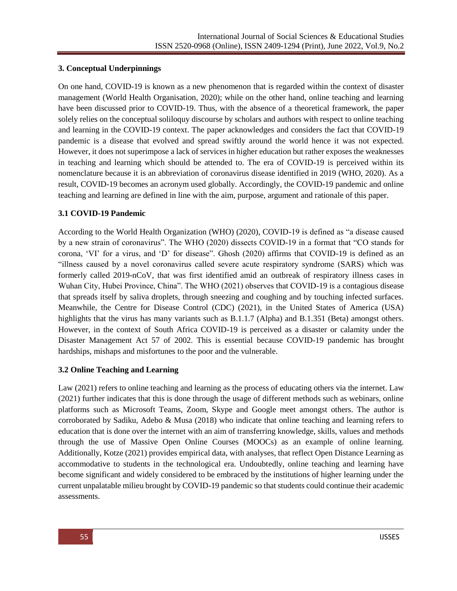# **3. Conceptual Underpinnings**

On one hand, COVID-19 is known as a new phenomenon that is regarded within the context of disaster management (World Health Organisation, 2020); while on the other hand, online teaching and learning have been discussed prior to COVID-19. Thus, with the absence of a theoretical framework, the paper solely relies on the conceptual soliloquy discourse by scholars and authors with respect to online teaching and learning in the COVID-19 context. The paper acknowledges and considers the fact that COVID-19 pandemic is a disease that evolved and spread swiftly around the world hence it was not expected. However, it does not superimpose a lack of services in higher education but rather exposes the weaknesses in teaching and learning which should be attended to. The era of COVID-19 is perceived within its nomenclature because it is an abbreviation of coronavirus disease identified in 2019 (WHO, 2020). As a result, COVID-19 becomes an acronym used globally. Accordingly, the COVID-19 pandemic and online teaching and learning are defined in line with the aim, purpose, argument and rationale of this paper.

# **3.1 COVID-19 Pandemic**

According to the World Health Organization (WHO) (2020), COVID-19 is defined as "a disease caused by a new strain of coronavirus". The WHO (2020) dissects COVID-19 in a format that "CO stands for corona, 'VI' for a virus, and 'D' for disease". Ghosh (2020) affirms that COVID-19 is defined as an "illness caused by a novel coronavirus called severe acute respiratory syndrome (SARS) which was formerly called 2019-nCoV, that was first identified amid an outbreak of respiratory illness cases in Wuhan City, Hubei Province, China". The WHO (2021) observes that COVID-19 is a contagious disease that spreads itself by saliva droplets, through sneezing and coughing and by touching infected surfaces. Meanwhile, the Centre for Disease Control (CDC) (2021), in the United States of America (USA) highlights that the virus has many variants such as B.1.1.7 (Alpha) and B.1.351 (Beta) amongst others. However, in the context of South Africa COVID-19 is perceived as a disaster or calamity under the Disaster Management Act 57 of 2002. This is essential because COVID-19 pandemic has brought hardships, mishaps and misfortunes to the poor and the vulnerable.

# **3.2 Online Teaching and Learning**

Law (2021) refers to online teaching and learning as the process of educating others via the internet. Law (2021) further indicates that this is done through the usage of different methods such as webinars, online platforms such as Microsoft Teams, Zoom, Skype and Google meet amongst others. The author is corroborated by Sadiku, Adebo & Musa (2018) who indicate that online teaching and learning refers to education that is done over the internet with an aim of transferring knowledge, skills, values and methods through the use of Massive Open Online Courses (MOOCs) as an example of online learning. Additionally, Kotze (2021) provides empirical data, with analyses, that reflect Open Distance Learning as accommodative to students in the technological era. Undoubtedly, online teaching and learning have become significant and widely considered to be embraced by the institutions of higher learning under the current unpalatable milieu brought by COVID-19 pandemic so that students could continue their academic assessments.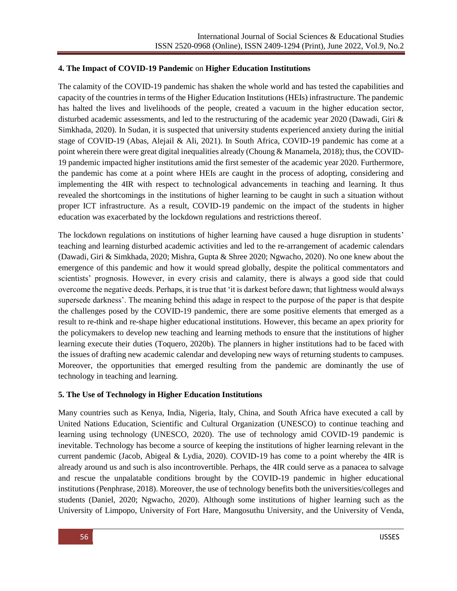#### **4. The Impact of COVID-19 Pandemic** on **Higher Education Institutions**

The calamity of the COVID-19 pandemic has shaken the whole world and has tested the capabilities and capacity of the countries in terms of the Higher Education Institutions (HEIs) infrastructure. The pandemic has halted the lives and livelihoods of the people, created a vacuum in the higher education sector, disturbed academic assessments, and led to the restructuring of the academic year 2020 (Dawadi, Giri & Simkhada, 2020). In Sudan, it is suspected that university students experienced anxiety during the initial stage of COVID-19 (Abas, Alejail & Ali, 2021). In South Africa, COVID-19 pandemic has come at a point wherein there were great digital inequalities already (Choung & Manamela, 2018); thus, the COVID-19 pandemic impacted higher institutions amid the first semester of the academic year 2020. Furthermore, the pandemic has come at a point where HEIs are caught in the process of adopting, considering and implementing the 4IR with respect to technological advancements in teaching and learning. It thus revealed the shortcomings in the institutions of higher learning to be caught in such a situation without proper ICT infrastructure. As a result, COVID-19 pandemic on the impact of the students in higher education was exacerbated by the lockdown regulations and restrictions thereof.

The lockdown regulations on institutions of higher learning have caused a huge disruption in students' teaching and learning disturbed academic activities and led to the re-arrangement of academic calendars (Dawadi, Giri & Simkhada, 2020; Mishra, Gupta & Shree 2020; Ngwacho, 2020). No one knew about the emergence of this pandemic and how it would spread globally, despite the political commentators and scientists' prognosis. However, in every crisis and calamity, there is always a good side that could overcome the negative deeds. Perhaps, it is true that 'it is darkest before dawn; that lightness would always supersede darkness'. The meaning behind this adage in respect to the purpose of the paper is that despite the challenges posed by the COVID-19 pandemic, there are some positive elements that emerged as a result to re-think and re-shape higher educational institutions. However, this became an apex priority for the policymakers to develop new teaching and learning methods to ensure that the institutions of higher learning execute their duties (Toquero, 2020b). The planners in higher institutions had to be faced with the issues of drafting new academic calendar and developing new ways of returning students to campuses. Moreover, the opportunities that emerged resulting from the pandemic are dominantly the use of technology in teaching and learning.

#### **5. The Use of Technology in Higher Education Institutions**

Many countries such as Kenya, India, Nigeria, Italy, China, and South Africa have executed a call by United Nations Education, Scientific and Cultural Organization (UNESCO) to continue teaching and learning using technology (UNESCO, 2020). The use of technology amid COVID-19 pandemic is inevitable. Technology has become a source of keeping the institutions of higher learning relevant in the current pandemic (Jacob, Abigeal & Lydia, 2020). COVID-19 has come to a point whereby the 4IR is already around us and such is also incontrovertible. Perhaps, the 4IR could serve as a panacea to salvage and rescue the unpalatable conditions brought by the COVID-19 pandemic in higher educational institutions (Penphrase, 2018). Moreover, the use of technology benefits both the universities/colleges and students (Daniel, 2020; Ngwacho, 2020). Although some institutions of higher learning such as the University of Limpopo, University of Fort Hare, Mangosuthu University, and the University of Venda,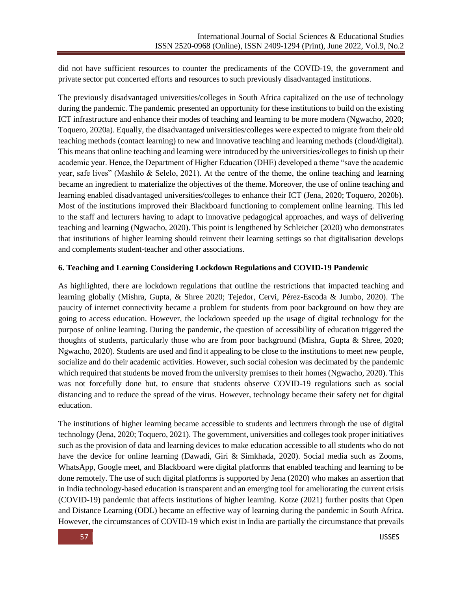did not have sufficient resources to counter the predicaments of the COVID-19, the government and private sector put concerted efforts and resources to such previously disadvantaged institutions.

The previously disadvantaged universities/colleges in South Africa capitalized on the use of technology during the pandemic. The pandemic presented an opportunity for these institutions to build on the existing ICT infrastructure and enhance their modes of teaching and learning to be more modern (Ngwacho, 2020; Toquero, 2020a). Equally, the disadvantaged universities/colleges were expected to migrate from their old teaching methods (contact learning) to new and innovative teaching and learning methods (cloud/digital). This means that online teaching and learning were introduced by the universities/colleges to finish up their academic year. Hence, the Department of Higher Education (DHE) developed a theme "save the academic year, safe lives" (Mashilo & Selelo, 2021). At the centre of the theme, the online teaching and learning became an ingredient to materialize the objectives of the theme. Moreover, the use of online teaching and learning enabled disadvantaged universities/colleges to enhance their ICT (Jena, 2020; Toquero, 2020b). Most of the institutions improved their Blackboard functioning to complement online learning. This led to the staff and lecturers having to adapt to innovative pedagogical approaches, and ways of delivering teaching and learning (Ngwacho, 2020). This point is lengthened by Schleicher (2020) who demonstrates that institutions of higher learning should reinvent their learning settings so that digitalisation develops and complements student-teacher and other associations.

# **6. Teaching and Learning Considering Lockdown Regulations and COVID-19 Pandemic**

As highlighted, there are lockdown regulations that outline the restrictions that impacted teaching and learning globally (Mishra, Gupta, & Shree 2020; Tejedor, Cervi, Pérez-Escoda & Jumbo, 2020). The paucity of internet connectivity became a problem for students from poor background on how they are going to access education. However, the lockdown speeded up the usage of digital technology for the purpose of online learning. During the pandemic, the question of accessibility of education triggered the thoughts of students, particularly those who are from poor background (Mishra, Gupta & Shree, 2020; Ngwacho, 2020). Students are used and find it appealing to be close to the institutions to meet new people, socialize and do their academic activities. However, such social cohesion was decimated by the pandemic which required that students be moved from the university premises to their homes (Ngwacho, 2020). This was not forcefully done but, to ensure that students observe COVID-19 regulations such as social distancing and to reduce the spread of the virus. However, technology became their safety net for digital education.

The institutions of higher learning became accessible to students and lecturers through the use of digital technology (Jena, 2020; Toquero, 2021). The government, universities and colleges took proper initiatives such as the provision of data and learning devices to make education accessible to all students who do not have the device for online learning (Dawadi, Giri & Simkhada, 2020). Social media such as Zooms, WhatsApp, Google meet, and Blackboard were digital platforms that enabled teaching and learning to be done remotely. The use of such digital platforms is supported by Jena (2020) who makes an assertion that in India technology-based education is transparent and an emerging tool for ameliorating the current crisis (COVID-19) pandemic that affects institutions of higher learning. Kotze (2021) further posits that Open and Distance Learning (ODL) became an effective way of learning during the pandemic in South Africa. However, the circumstances of COVID-19 which exist in India are partially the circumstance that prevails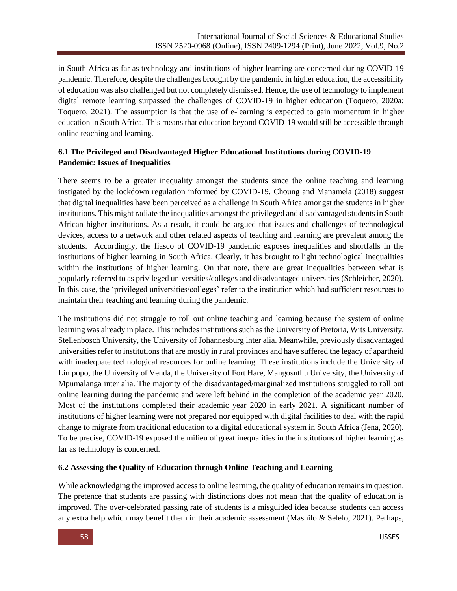in South Africa as far as technology and institutions of higher learning are concerned during COVID-19 pandemic. Therefore, despite the challenges brought by the pandemic in higher education, the accessibility of education was also challenged but not completely dismissed. Hence, the use of technology to implement digital remote learning surpassed the challenges of COVID-19 in higher education (Toquero, 2020a; Toquero, 2021). The assumption is that the use of e-learning is expected to gain momentum in higher education in South Africa. This means that education beyond COVID-19 would still be accessible through online teaching and learning.

# **6.1 The Privileged and Disadvantaged Higher Educational Institutions during COVID-19 Pandemic: Issues of Inequalities**

There seems to be a greater inequality amongst the students since the online teaching and learning instigated by the lockdown regulation informed by COVID-19. Choung and Manamela (2018) suggest that digital inequalities have been perceived as a challenge in South Africa amongst the students in higher institutions. This might radiate the inequalities amongst the privileged and disadvantaged students in South African higher institutions. As a result, it could be argued that issues and challenges of technological devices, access to a network and other related aspects of teaching and learning are prevalent among the students. Accordingly, the fiasco of COVID-19 pandemic exposes inequalities and shortfalls in the institutions of higher learning in South Africa. Clearly, it has brought to light technological inequalities within the institutions of higher learning. On that note, there are great inequalities between what is popularly referred to as privileged universities/colleges and disadvantaged universities (Schleicher, 2020). In this case, the 'privileged universities/colleges' refer to the institution which had sufficient resources to maintain their teaching and learning during the pandemic.

The institutions did not struggle to roll out online teaching and learning because the system of online learning was already in place. This includes institutions such as the University of Pretoria, Wits University, Stellenbosch University, the University of Johannesburg inter alia. Meanwhile, previously disadvantaged universities refer to institutions that are mostly in rural provinces and have suffered the legacy of apartheid with inadequate technological resources for online learning. These institutions include the University of Limpopo, the University of Venda, the University of Fort Hare, Mangosuthu University, the University of Mpumalanga inter alia. The majority of the disadvantaged/marginalized institutions struggled to roll out online learning during the pandemic and were left behind in the completion of the academic year 2020. Most of the institutions completed their academic year 2020 in early 2021. A significant number of institutions of higher learning were not prepared nor equipped with digital facilities to deal with the rapid change to migrate from traditional education to a digital educational system in South Africa (Jena, 2020). To be precise, COVID-19 exposed the milieu of great inequalities in the institutions of higher learning as far as technology is concerned.

# **6.2 Assessing the Quality of Education through Online Teaching and Learning**

While acknowledging the improved access to online learning, the quality of education remains in question. The pretence that students are passing with distinctions does not mean that the quality of education is improved. The over-celebrated passing rate of students is a misguided idea because students can access any extra help which may benefit them in their academic assessment (Mashilo & Selelo, 2021). Perhaps,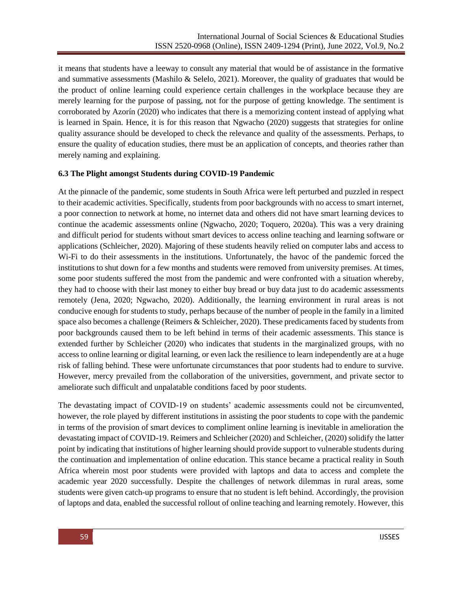it means that students have a leeway to consult any material that would be of assistance in the formative and summative assessments (Mashilo  $\&$  Selelo, 2021). Moreover, the quality of graduates that would be the product of online learning could experience certain challenges in the workplace because they are merely learning for the purpose of passing, not for the purpose of getting knowledge. The sentiment is corroborated by Azorín (2020) who indicates that there is a memorizing content instead of applying what is learned in Spain. Hence, it is for this reason that Ngwacho (2020) suggests that strategies for online quality assurance should be developed to check the relevance and quality of the assessments. Perhaps, to ensure the quality of education studies, there must be an application of concepts, and theories rather than merely naming and explaining.

#### **6.3 The Plight amongst Students during COVID-19 Pandemic**

At the pinnacle of the pandemic, some students in South Africa were left perturbed and puzzled in respect to their academic activities. Specifically, students from poor backgrounds with no access to smart internet, a poor connection to network at home, no internet data and others did not have smart learning devices to continue the academic assessments online (Ngwacho, 2020; Toquero, 2020a). This was a very draining and difficult period for students without smart devices to access online teaching and learning software or applications (Schleicher, 2020). Majoring of these students heavily relied on computer labs and access to Wi-Fi to do their assessments in the institutions. Unfortunately, the havoc of the pandemic forced the institutions to shut down for a few months and students were removed from university premises. At times, some poor students suffered the most from the pandemic and were confronted with a situation whereby, they had to choose with their last money to either buy bread or buy data just to do academic assessments remotely (Jena, 2020; Ngwacho, 2020). Additionally, the learning environment in rural areas is not conducive enough for students to study, perhaps because of the number of people in the family in a limited space also becomes a challenge (Reimers & Schleicher, 2020). These predicaments faced by students from poor backgrounds caused them to be left behind in terms of their academic assessments. This stance is extended further by Schleicher (2020) who indicates that students in the marginalized groups, with no access to online learning or digital learning, or even lack the resilience to learn independently are at a huge risk of falling behind. These were unfortunate circumstances that poor students had to endure to survive. However, mercy prevailed from the collaboration of the universities, government, and private sector to ameliorate such difficult and unpalatable conditions faced by poor students.

The devastating impact of COVID-19 on students' academic assessments could not be circumvented, however, the role played by different institutions in assisting the poor students to cope with the pandemic in terms of the provision of smart devices to compliment online learning is inevitable in amelioration the devastating impact of COVID-19. Reimers and Schleicher (2020) and Schleicher, (2020) solidify the latter point by indicating that institutions of higher learning should provide support to vulnerable students during the continuation and implementation of online education. This stance became a practical reality in South Africa wherein most poor students were provided with laptops and data to access and complete the academic year 2020 successfully. Despite the challenges of network dilemmas in rural areas, some students were given catch-up programs to ensure that no student is left behind. Accordingly, the provision of laptops and data, enabled the successful rollout of online teaching and learning remotely. However, this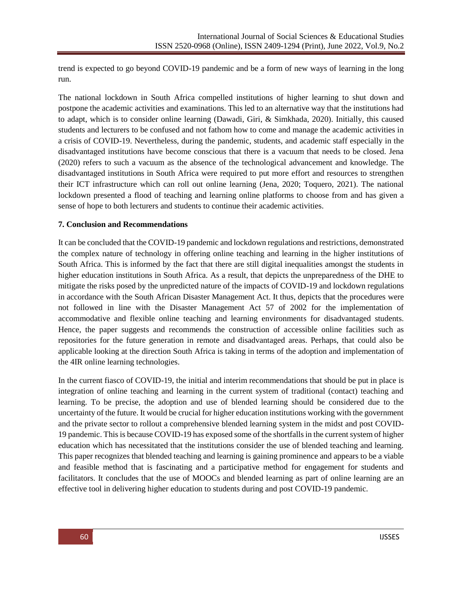trend is expected to go beyond COVID-19 pandemic and be a form of new ways of learning in the long run.

The national lockdown in South Africa compelled institutions of higher learning to shut down and postpone the academic activities and examinations. This led to an alternative way that the institutions had to adapt, which is to consider online learning (Dawadi, Giri, & Simkhada, 2020). Initially, this caused students and lecturers to be confused and not fathom how to come and manage the academic activities in a crisis of COVID-19. Nevertheless, during the pandemic, students, and academic staff especially in the disadvantaged institutions have become conscious that there is a vacuum that needs to be closed. Jena (2020) refers to such a vacuum as the absence of the technological advancement and knowledge. The disadvantaged institutions in South Africa were required to put more effort and resources to strengthen their ICT infrastructure which can roll out online learning (Jena, 2020; Toquero, 2021). The national lockdown presented a flood of teaching and learning online platforms to choose from and has given a sense of hope to both lecturers and students to continue their academic activities.

#### **7. Conclusion and Recommendations**

It can be concluded that the COVID-19 pandemic and lockdown regulations and restrictions, demonstrated the complex nature of technology in offering online teaching and learning in the higher institutions of South Africa. This is informed by the fact that there are still digital inequalities amongst the students in higher education institutions in South Africa. As a result, that depicts the unpreparedness of the DHE to mitigate the risks posed by the unpredicted nature of the impacts of COVID-19 and lockdown regulations in accordance with the South African Disaster Management Act. It thus, depicts that the procedures were not followed in line with the Disaster Management Act 57 of 2002 for the implementation of accommodative and flexible online teaching and learning environments for disadvantaged students. Hence, the paper suggests and recommends the construction of accessible online facilities such as repositories for the future generation in remote and disadvantaged areas. Perhaps, that could also be applicable looking at the direction South Africa is taking in terms of the adoption and implementation of the 4IR online learning technologies.

In the current fiasco of COVID-19, the initial and interim recommendations that should be put in place is integration of online teaching and learning in the current system of traditional (contact) teaching and learning. To be precise, the adoption and use of blended learning should be considered due to the uncertainty of the future. It would be crucial for higher education institutions working with the government and the private sector to rollout a comprehensive blended learning system in the midst and post COVID-19 pandemic. This is because COVID-19 has exposed some of the shortfalls in the current system of higher education which has necessitated that the institutions consider the use of blended teaching and learning. This paper recognizes that blended teaching and learning is gaining prominence and appears to be a viable and feasible method that is fascinating and a participative method for engagement for students and facilitators. It concludes that the use of MOOCs and blended learning as part of online learning are an effective tool in delivering higher education to students during and post COVID-19 pandemic.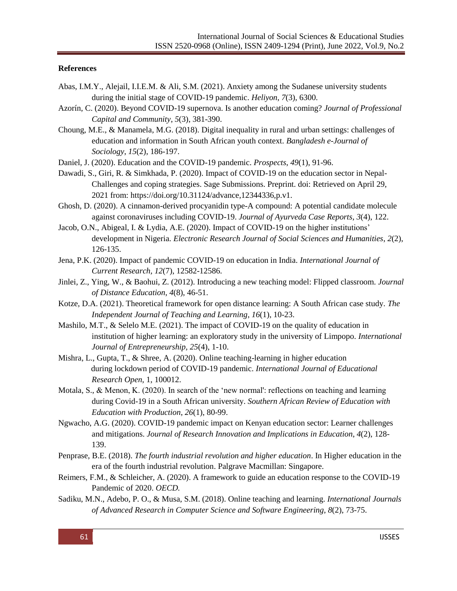#### **References**

- Abas, I.M.Y., Alejail, I.I.E.M. & Ali, S.M. (2021). Anxiety among the Sudanese university students during the initial stage of COVID-19 pandemic. *Heliyon*, *7*(3), 6300.
- Azorín, C. (2020). Beyond COVID-19 supernova. Is another education coming? *Journal of Professional Capital and Community*, *5*(3), 381-390.
- Choung, M.E., & Manamela, M.G. (2018). Digital inequality in rural and urban settings: challenges of education and information in South African youth context. *Bangladesh e-Journal of Sociology*, *15*(2), 186-197.
- Daniel, J. (2020). Education and the COVID-19 pandemic. *Prospects*, *49*(1), 91-96.
- Dawadi, S., Giri, R. & Simkhada, P. (2020). Impact of COVID-19 on the education sector in Nepal-Challenges and coping strategies. Sage Submissions. Preprint. doi: Retrieved on April 29, 2021 from: [https://doi.org/10.31124/advance,12344336,p.v1.](https://doi.org/10.31124/advance,12344336,p.v1)
- Ghosh, D. (2020). A cinnamon-derived procyanidin type-A compound: A potential candidate molecule against coronaviruses including COVID-19. *Journal of Ayurveda Case Reports*, *3*(4), 122.
- Jacob, O.N., Abigeal, I. & Lydia, A.E. (2020). Impact of COVID-19 on the higher institutions' development in Nigeria. *Electronic Research Journal of Social Sciences and Humanities*, *2*(2), 126-135.
- Jena, P.K. (2020). Impact of pandemic COVID-19 on education in India. *International Journal of Current Research, 12*(7), 12582-12586.
- Jinlei, Z., Ying, W., & Baohui, Z. (2012). Introducing a new teaching model: Flipped classroom. *Journal of Distance Education*, *4*(8), 46-51.
- Kotze, D.A. (2021). Theoretical framework for open distance learning: A South African case study. *The Independent Journal of Teaching and Learning*, *16*(1), 10-23.
- Mashilo, M.T., & Selelo M.E. (2021). The impact of COVID-19 on the quality of education in institution of higher learning: an exploratory study in the university of Limpopo. *International Journal of Entrepreneurship, 25*(4), 1-10.
- Mishra, L., Gupta, T., & Shree, A. (2020). Online teaching-learning in higher education during lockdown period of COVID-19 pandemic. *International Journal of Educational Research Open*, 1, 100012.
- Motala, S., & Menon, K. (2020). In search of the 'new normal': reflections on teaching and learning during Covid-19 in a South African university. *Southern African Review of Education with Education with Production*, *26*(1), 80-99.
- Ngwacho, A.G. (2020). COVID-19 pandemic impact on Kenyan education sector: Learner challenges and mitigations. *Journal of Research Innovation and Implications in Education*, *4*(2), 128- 139.
- Penprase, B.E. (2018). *The fourth industrial revolution and higher education*. In Higher education in the era of the fourth industrial revolution. Palgrave Macmillan: Singapore.
- Reimers, F.M., & Schleicher, A. (2020). A framework to guide an education response to the COVID-19 Pandemic of 2020. *OECD.*
- Sadiku, M.N., Adebo, P. O., & Musa, S.M. (2018). Online teaching and learning. *International Journals of Advanced Research in Computer Science and Software Engineering*, *8*(2), 73-75.